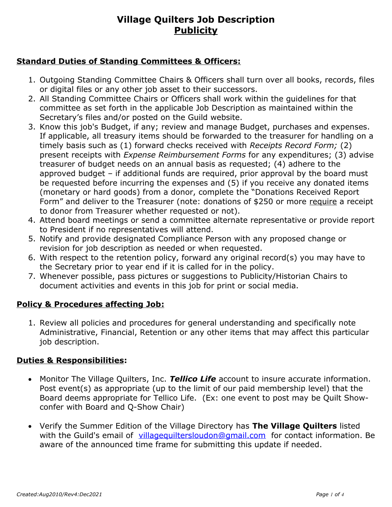### **Standard Duties of Standing Committees & Officers:**

- 1. Outgoing Standing Committee Chairs & Officers shall turn over all books, records, files or digital files or any other job asset to their successors.
- 2. All Standing Committee Chairs or Officers shall work within the guidelines for that committee as set forth in the applicable Job Description as maintained within the Secretary's files and/or posted on the Guild website.
- 3. Know this job's Budget, if any; review and manage Budget, purchases and expenses. If applicable, all treasury items should be forwarded to the treasurer for handling on a timely basis such as (1) forward checks received with *Receipts Record Form;* (2) present receipts with *Expense Reimbursement Forms* for any expenditures; (3) advise treasurer of budget needs on an annual basis as requested; (4) adhere to the approved budget – if additional funds are required, prior approval by the board must be requested before incurring the expenses and (5) if you receive any donated items (monetary or hard goods) from a donor, complete the "Donations Received Report Form" and deliver to the Treasurer (note: donations of \$250 or more require a receipt to donor from Treasurer whether requested or not).
- 4. Attend board meetings or send a committee alternate representative or provide report to President if no representatives will attend.
- 5. Notify and provide designated Compliance Person with any proposed change or revision for job description as needed or when requested.
- 6. With respect to the retention policy, forward any original record(s) you may have to the Secretary prior to year end if it is called for in the policy.
- 7. Whenever possible, pass pictures or suggestions to Publicity/Historian Chairs to document activities and events in this job for print or social media.

### **Policy & Procedures affecting Job:**

1. Review all policies and procedures for general understanding and specifically note Administrative, Financial, Retention or any other items that may affect this particular job description.

### **Duties & Responsibilities:**

- Monitor The Village Quilters, Inc. *Tellico Life* account to insure accurate information. Post event(s) as appropriate (up to the limit of our paid membership level) that the Board deems appropriate for Tellico Life. (Ex: one event to post may be Quilt Showconfer with Board and Q-Show Chair)
- Verify the Summer Edition of the Village Directory has **The Village Quilters** listed with the Guild's email of [villagequiltersloudon@gmail.com](mailto:villagequilters@hotmail.com) for contact information. Be aware of the announced time frame for submitting this update if needed.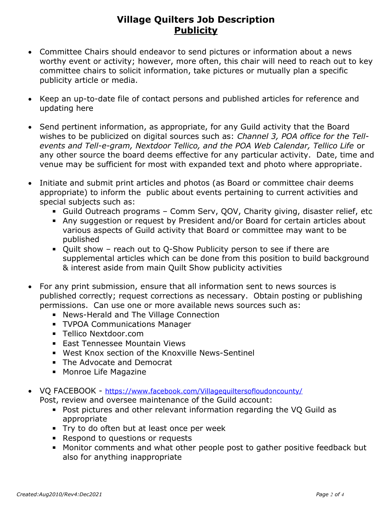- Committee Chairs should endeavor to send pictures or information about a news worthy event or activity; however, more often, this chair will need to reach out to key committee chairs to solicit information, take pictures or mutually plan a specific publicity article or media.
- Keep an up-to-date file of contact persons and published articles for reference and updating here
- Send pertinent information, as appropriate, for any Guild activity that the Board wishes to be publicized on digital sources such as: *Channel 3, POA office for the Tellevents and Tell-e-gram, Nextdoor Tellico, and the POA Web Calendar, Tellico Life* or any other source the board deems effective for any particular activity. Date, time and venue may be sufficient for most with expanded text and photo where appropriate.
- Initiate and submit print articles and photos (as Board or committee chair deems appropriate) to inform the public about events pertaining to current activities and special subjects such as:
	- **EXAGLE 15 Guild Outreach programs Comm Serv, QOV, Charity giving, disaster relief, etc**
	- Any suggestion or request by President and/or Board for certain articles about various aspects of Guild activity that Board or committee may want to be published
	- Quilt show reach out to Q-Show Publicity person to see if there are supplemental articles which can be done from this position to build background & interest aside from main Quilt Show publicity activities
- For any print submission, ensure that all information sent to news sources is published correctly; request corrections as necessary. Obtain posting or publishing permissions. Can use one or more available news sources such as:
	- **E** News-Herald and The Village Connection
	- **TVPOA Communications Manager**
	- **E** Tellico Nextdoor.com
	- **East Tennessee Mountain Views**
	- West Knox section of the Knoxville News-Sentinel
	- The Advocate and Democrat
	- Monroe Life Magazine
- VQ FACEBOOK <https://www.facebook.com/Villagequiltersofloudoncounty/>
	- Post, review and oversee maintenance of the Guild account:
		- Post pictures and other relevant information regarding the VQ Guild as appropriate
		- **Try to do often but at least once per week**
		- Respond to questions or requests
		- Monitor comments and what other people post to gather positive feedback but also for anything inappropriate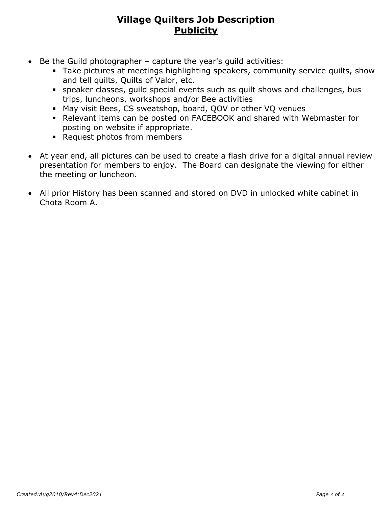- $\bullet$  Be the Guild photographer capture the year's quild activities:
	- **EXTake pictures at meetings highlighting speakers, community service quilts, show** and tell quilts, Quilts of Valor, etc.
	- **EX speaker classes, quild special events such as quilt shows and challenges, bus** trips, luncheons, workshops and/or Bee activities
	- May visit Bees, CS sweatshop, board, QOV or other VQ venues
	- Relevant items can be posted on FACEBOOK and shared with Webmaster for posting on website if appropriate.
	- Request photos from members
- At year end, all pictures can be used to create a flash drive for a digital annual review presentation for members to enjoy. The Board can designate the viewing for either the meeting or luncheon.
- All prior History has been scanned and stored on DVD in unlocked white cabinet in Chota Room A.